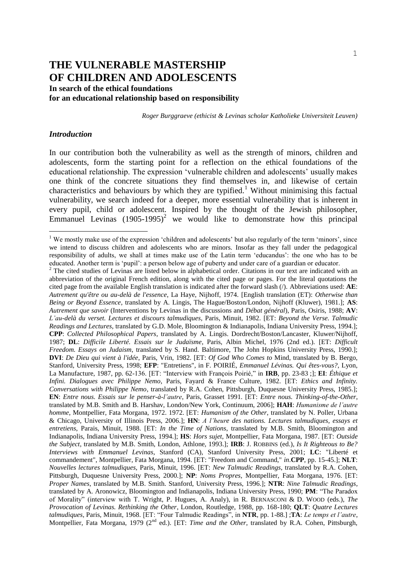# **THE VULNERABLE MASTERSHIP OF CHILDREN AND ADOLESCENTS**

**In search of the ethical foundations for an educational relationship based on responsibility**

*Roger Burggraeve (ethicist & Levinas scholar Katholieke Universiteit Leuven)*

# *Introduction*

—<br>—

In our contribution both the vulnerability as well as the strength of minors, children and adolescents, form the starting point for a reflection on the ethical foundations of the educational relationship. The expression 'vulnerable children and adolescents' usually makes one think of the concrete situations they find themselves in, and likewise of certain characteristics and behaviours by which they are typified.<sup>1</sup> Without minimising this factual vulnerability, we search indeed for a deeper, more essential vulnerability that is inherent in every pupil, child or adolescent. Inspired by the thought of the Jewish philosopher, Emmanuel Levinas  $(1905-1995)^2$  we would like to demonstrate how this principal

<sup>&</sup>lt;sup>1</sup> We mostly make use of the expression 'children and adolescents' but also regularly of the term 'minors', since we intend to discuss children and adolescents who are minors. Insofar as they fall under the pedagogical responsibility of adults, we shall at times make use of the Latin term 'educandus': the one who has to be educated. Another term is 'pupil': a person below age of puberty and under care of a guardian or educator.

 $2^2$  The cited studies of Levinas are listed below in alphabetical order. Citations in our text are indicated with an abbreviation of the original French edition, along with the cited page or pages. For the literal quotations the cited page from the available English translation is indicated after the forward slash (/). Abbreviations used: **AE**: *Autrement qu'être ou au-delà de l'essence*, La Haye, Nijhoff, 1974. [English translation (ET): *Otherwise than Being or Beyond Essence*, translated by A. Lingis, The Hague/Boston/London, Nijhoff (Kluwer), 1981.]; **AS**: *Autrement que savoir* (Interventions by Levinas in the discussions and *Débat général*), Paris, Osiris, 1988; **AV**: *L'au-delà du verset. Lectures et discours talmudiques*, Paris, Minuit, 1982. [ET: *Beyond the Verse. Talmudic Readings and Lectures*, translated by G.D. Mole, Bloomington & Indianapolis, Indiana University Press, 1994.]; **CPP**: *Collected Philosophical Papers*, translated by A. Lingis. Dordrecht/Boston/Lancaster, Kluwer/Nijhoff, 1987; **DL**: *Difficile Liberté. Essais sur le Judaïsme*, Paris, Albin Michel, 1976 (2nd ed.). [ET: *Difficult Freedom. Essays on Judaism*, translated by S. Hand. Baltimore, The John Hopkins University Press, 1990.]; **DVI**: *De Dieu qui vient à l'idée*, Paris, Vrin, 1982. [ET: *Of God Who Comes to* Mind, translated by B. Bergo, Stanford, University Press, 1998; **EFP**: "Entretiens", in F. POIRIÉ, *Emmanuel Lévinas. Qui êtes-vous?*, Lyon, La Manufacture, 1987, pp. 62-136. [ET: "Interview with François Poirié," in **IRB**, pp. 23-83 ;]; **EI**: *Éthique et Infini. Dialogues avec Philippe Nemo*, Paris, Fayard & France Culture, 1982. [ET: *Ethics and Infinity. Conversations with Philippe Nemo*, translated by R.A. Cohen, Pittsburgh, Duquesne University Press, 1985.]; **EN**: *Entre nous. Essais sur le penser-à-l'autre*, Paris, Grasset 1991. [ET: *Entre nous. Thinking-of-the-Other*, translated by M.B. Smith and B. Harshav, London/New York, Continuum, 2006]; **HAH**: *Humanisme de l'autre homme*, Montpellier, Fata Morgana, 1972. 1972. [ET: *Humanism of the Other*, translated by N. Poller, Urbana & Chicago, University of Illinois Press, 2006.]; **HN**: *A l'heure des nations. Lectures talmudiques, essays et entretiens*, Parais, Minuit, 1988. [ET: *In the Time of Nations*, translated by M.B. Smith, Bloomington and Indianapolis, Indiana University Press, 1994.]; **HS**: *Hors sujet*, Montpellier, Fata Morgana, 1987. [ET: *Outside the Subject*, translated by M.B. Smith, London, Athlone, 1993.]; **IRB**: J. ROBBINS (ed.), *Is It Righteous to Be? Interviews with Emmanuel Levinas*, Stanford (CA), Stanford University Press, 2001; **LC**: "Liberté et commandement", Montpellier, Fata Morgana, 1994. [ET: "Freedom and Command," *in*.**CPP**, pp. 15-45.]; **NLT**: *Nouvelles lectures talmudiques,* Paris, Minuit, 1996. [ET: *New Talmudic Readings*, translated by R.A. Cohen, Pittsburgh, Duquesne University Press, 2000.]; **NP**: *Noms Propres*, Montpellier, Fata Morgana, 1976. [ET: *Proper Names*, translated by M.B. Smith. Stanford, University Press, 1996.]; **NTR**: *Nine Talmudic Readings*, translated by A. Aronowicz, Bloomington and Indianapolis, Indiana University Press, 1990; **PM**: "The Paradox of Morality" (interview with T. Wright, P. Hugues, A. Analy), in R. BERNASCONI & D. WOOD (eds.), *The Provocation of Levinas. Rethinking the Other*, London, Routledge, 1988, pp. 168-180; **QLT**: *Quatre Lectures talmudiques*, Paris, Minuit, 1968. [ET: "Four Talmudic Readings", in **NTR**, pp. 1-88.] ;**TA**: *Le temps et l'autre*, Montpellier, Fata Morgana, 1979 (2<sup>nd</sup> ed.). [ET: *Time and the Other*, translated by R.A. Cohen, Pittsburgh,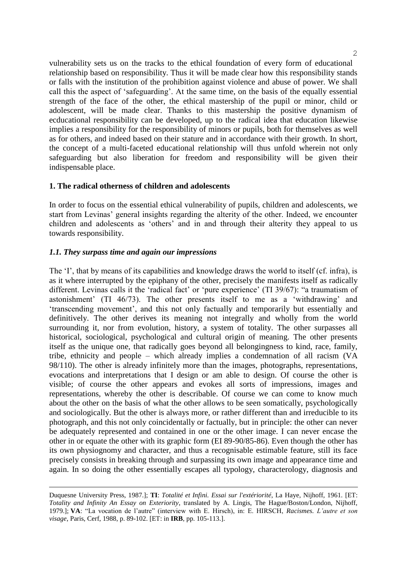vulnerability sets us on the tracks to the ethical foundation of every form of educational relationship based on responsibility. Thus it will be made clear how this responsibility stands or falls with the institution of the prohibition against violence and abuse of power. We shall call this the aspect of 'safeguarding'. At the same time, on the basis of the equally essential strength of the face of the other, the ethical mastership of the pupil or minor, child or adolescent, will be made clear. Thanks to this mastership the positive dynamism of ecducational responsibility can be developed, up to the radical idea that education likewise implies a responsibility for the responsibility of minors or pupils, both for themselves as well as for others, and indeed based on their stature and in accordance with their growth. In short, the concept of a multi-faceted educational relationship will thus unfold wherein not only safeguarding but also liberation for freedom and responsibility will be given their indispensable place.

## **1. The radical otherness of children and adolescents**

In order to focus on the essential ethical vulnerability of pupils, children and adolescents, we start from Levinas' general insights regarding the alterity of the other. Indeed, we encounter children and adolescents as 'others' and in and through their alterity they appeal to us towards responsibility.

## *1.1. They surpass time and again our impressions*

—<br>—

The 'I', that by means of its capabilities and knowledge draws the world to itself (cf. infra), is as it where interrupted by the epiphany of the other, precisely the manifests itself as radically different. Levinas calls it the 'radical fact' or 'pure experience' (TI 39/67): "a traumatism of astonishment' (TI 46/73). The other presents itself to me as a 'withdrawing' and 'transcending movement', and this not only factually and temporarily but essentially and definitively. The other derives its meaning not integrally and wholly from the world surrounding it, nor from evolution, history, a system of totality. The other surpasses all historical, sociological, psychological and cultural origin of meaning. The other presents itself as the unique one, that radically goes beyond all belongingness to kind, race, family, tribe, ethnicity and people – which already implies a condemnation of all racism (VA 98/110). The other is already infinitely more than the images, photographs, representations, evocations and interpretations that I design or am able to design. Of course the other is visible; of course the other appears and evokes all sorts of impressions, images and representations, whereby the other is describable. Of course we can come to know much about the other on the basis of what the other allows to be seen somatically, psychologically and sociologically. But the other is always more, or rather different than and irreducible to its photograph, and this not only coincidentally or factually, but in principle: the other can never be adequately represented and contained in one or the other image. I can never encase the other in or equate the other with its graphic form (EI 89-90/85-86). Even though the other has its own physiognomy and character, and thus a recognisable estimable feature, still its face precisely consists in breaking through and surpassing its own image and appearance time and again. In so doing the other essentially escapes all typology, characterology, diagnosis and

Duquesne University Press, 1987.]; **TI**: *Totalité et Infini. Essai sur l'extériorité*, La Haye, Nijhoff, 1961. [ET: *Totality and Infinity An Essay on Exteriority*, translated by A. Lingis, The Hague/Boston/London, Nijhoff, 1979.]; **VA**: "La vocation de l'autre" (interview with E. Hirsch), in: E. HIRSCH, *Racismes. L'autre et son visage*, Paris, Cerf, 1988, p. 89-102. [ET: in **IRB**, pp. 105-113.].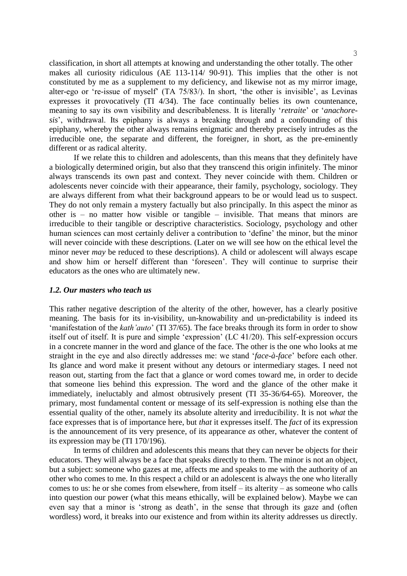classification, in short all attempts at knowing and understanding the other totally. The other makes all curiosity ridiculous (AE 113-114/ 90-91). This implies that the other is not constituted by me as a supplement to my deficiency, and likewise not as my mirror image, alter-ego or 're-issue of myself' (TA 75/83/). In short, 'the other is invisible', as Levinas expresses it provocatively (TI 4/34). The face continually belies its own countenance, meaning to say its own visibility and describableness. It is literally '*retraite*' or '*anachoresis*', withdrawal. Its epiphany is always a breaking through and a confounding of this epiphany, whereby the other always remains enigmatic and thereby precisely intrudes as the irreducible one, the separate and different, the foreigner, in short, as the pre-eminently different or as radical alterity.

If we relate this to children and adolescents, than this means that they definitely have a biologically determined origin, but also that they transcend this origin infinitely. The minor always transcends its own past and context. They never coincide with them. Children or adolescents never coincide with their appearance, their family, psychology, sociology. They are always different from what their background appears to be or would lead us to suspect. They do not only remain a mystery factually but also principally. In this aspect the minor as other is – no matter how visible or tangible – invisible. That means that minors are irreducible to their tangible or descriptive characteristics. Sociology, psychology and other human sciences can most certainly deliver a contribution to 'define' the minor, but the minor will never coincide with these descriptions. (Later on we will see how on the ethical level the minor never *may* be reduced to these descriptions). A child or adolescent will always escape and show him or herself different than 'foreseen'. They will continue to surprise their educators as the ones who are ultimately new.

#### *1.2. Our masters who teach us*

This rather negative description of the alterity of the other, however, has a clearly positive meaning. The basis for its in-visibility, un-knowability and un-predictability is indeed its 'manifestation of the *kath'auto*' (TI 37/65). The face breaks through its form in order to show itself out of itself. It is pure and simple 'expression' (LC 41/20). This self-expression occurs in a concrete manner in the word and glance of the face. The other is the one who looks at me straight in the eye and also directly addresses me: we stand '*face-à-face*' before each other. Its glance and word make it present without any detours or intermediary stages. I need not reason out, starting from the fact that a glance or word comes toward me, in order to decide that someone lies behind this expression. The word and the glance of the other make it immediately, ineluctably and almost obtrusively present (TI 35-36/64-65). Moreover, the primary, most fundamental content or message of its self-expression is nothing else than the essential quality of the other, namely its absolute alterity and irreducibility. It is not *what* the face expresses that is of importance here, but *that* it expresses itself. The *fact* of its expression is the announcement of its very presence, of its appearance *as* other, whatever the content of its expression may be (TI 170/196).

In terms of children and adolescents this means that they can never be objects for their educators. They will always be a face that speaks directly to them. The minor is not an object, but a subject: someone who gazes at me, affects me and speaks to me with the authority of an other who comes to me. In this respect a child or an adolescent is always the one who literally comes to us: he or she comes from elsewhere, from itself – its alterity – as someone who calls into question our power (what this means ethically, will be explained below). Maybe we can even say that a minor is 'strong as death', in the sense that through its gaze and (often wordless) word, it breaks into our existence and from within its alterity addresses us directly.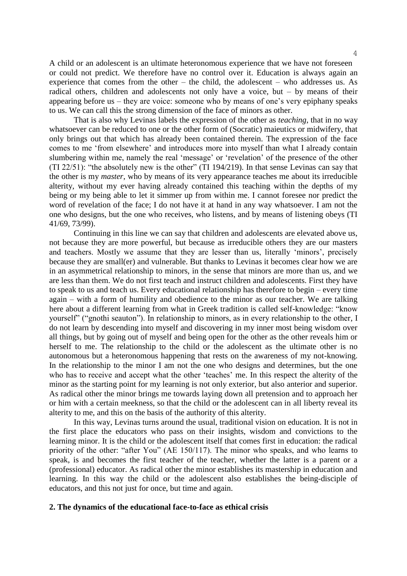A child or an adolescent is an ultimate heteronomous experience that we have not foreseen or could not predict. We therefore have no control over it. Education is always again an experience that comes from the other – the child, the adolescent – who addresses us. As radical others, children and adolescents not only have a voice, but – by means of their appearing before us – they are voice: someone who by means of one's very epiphany speaks to us. We can call this the strong dimension of the face of minors as other.

That is also why Levinas labels the expression of the other as *teaching*, that in no way whatsoever can be reduced to one or the other form of (Socratic) maieutics or midwifery, that only brings out that which has already been contained therein. The expression of the face comes to me 'from elsewhere' and introduces more into myself than what I already contain slumbering within me, namely the real 'message' or 'revelation' of the presence of the other (TI 22/51): "the absolutely new is the other" (TI 194/219). In that sense Levinas can say that the other is my *master*, who by means of its very appearance teaches me about its irreducible alterity, without my ever having already contained this teaching within the depths of my being or my being able to let it simmer up from within me. I cannot foresee nor predict the word of revelation of the face; I do not have it at hand in any way whatsoever. I am not the one who designs, but the one who receives, who listens, and by means of listening obeys (TI 41/69, 73/99).

Continuing in this line we can say that children and adolescents are elevated above us, not because they are more powerful, but because as irreducible others they are our masters and teachers. Mostly we assume that they are lesser than us, literally 'minors', precisely because they are small(er) and vulnerable. But thanks to Levinas it becomes clear how we are in an asymmetrical relationship to minors, in the sense that minors are more than us, and we are less than them. We do not first teach and instruct children and adolescents. First they have to speak to us and teach us. Every educational relationship has therefore to begin – every time again – with a form of humility and obedience to the minor as our teacher. We are talking here about a different learning from what in Greek tradition is called self-knowledge: "know yourself" ("gnothi seauton"). In relationship to minors, as in every relationship to the other, I do not learn by descending into myself and discovering in my inner most being wisdom over all things, but by going out of myself and being open for the other as the other reveals him or herself to me. The relationship to the child or the adolescent as the ultimate other is no autonomous but a heteronomous happening that rests on the awareness of my not-knowing. In the relationship to the minor I am not the one who designs and determines, but the one who has to receive and accept what the other 'teaches' me. In this respect the alterity of the minor as the starting point for my learning is not only exterior, but also anterior and superior. As radical other the minor brings me towards laying down all pretension and to approach her or him with a certain meekness, so that the child or the adolescent can in all liberty reveal its alterity to me, and this on the basis of the authority of this alterity.

In this way, Levinas turns around the usual, traditional vision on education. It is not in the first place the educators who pass on their insights, wisdom and convictions to the learning minor. It is the child or the adolescent itself that comes first in education: the radical priority of the other: "after You" (AE 150/117). The minor who speaks, and who learns to speak, is and becomes the first teacher of the teacher, whether the latter is a parent or a (professional) educator. As radical other the minor establishes its mastership in education and learning. In this way the child or the adolescent also establishes the being-disciple of educators, and this not just for once, but time and again.

#### **2. The dynamics of the educational face-to-face as ethical crisis**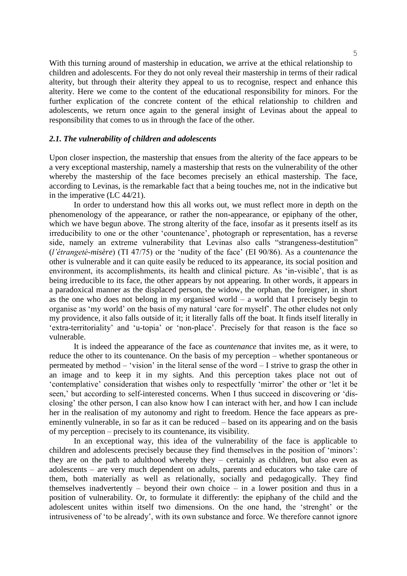With this turning around of mastership in education, we arrive at the ethical relationship to children and adolescents. For they do not only reveal their mastership in terms of their radical alterity, but through their alterity they appeal to us to recognise, respect and enhance this alterity. Here we come to the content of the educational responsibility for minors. For the further explication of the concrete content of the ethical relationship to children and adolescents, we return once again to the general insight of Levinas about the appeal to responsibility that comes to us in through the face of the other.

# *2.1. The vulnerability of children and adolescents*

Upon closer inspection, the mastership that ensues from the alterity of the face appears to be a very exceptional mastership, namely a mastership that rests on the vulnerability of the other whereby the mastership of the face becomes precisely an ethical mastership. The face, according to Levinas, is the remarkable fact that a being touches me, not in the indicative but in the imperative (LC 44/21).

In order to understand how this all works out, we must reflect more in depth on the phenomenology of the appearance, or rather the non-appearance, or epiphany of the other, which we have begun above. The strong alterity of the face, insofar as it presents itself as its irreducibility to one or the other 'countenance', photograph or representation, has a reverse side, namely an extreme vulnerability that Levinas also calls "strangeness-destitution" (*l'étrangeté-misère*) (TI 47/75) or the 'nudity of the face' (EI 90/86). As a *countenance* the other is vulnerable and it can quite easily be reduced to its appearance, its social position and environment, its accomplishments, its health and clinical picture. As 'in-visible', that is as being irreducible to its face, the other appears by not appearing. In other words, it appears in a paradoxical manner as the displaced person, the widow, the orphan, the foreigner, in short as the one who does not belong in my organised world – a world that I precisely begin to organise as 'my world' on the basis of my natural 'care for myself'. The other eludes not only my providence, it also falls outside of it; it literally falls off the boat. It finds itself literally in 'extra-territoriality' and 'u-topia' or 'non-place'. Precisely for that reason is the face so vulnerable.

It is indeed the appearance of the face as *countenance* that invites me, as it were, to reduce the other to its countenance. On the basis of my perception – whether spontaneous or permeated by method – 'vision' in the literal sense of the word – I strive to grasp the other in an image and to keep it in my sights. And this perception takes place not out of 'contemplative' consideration that wishes only to respectfully 'mirror' the other or 'let it be seen,' but according to self-interested concerns. When I thus succeed in discovering or 'disclosing' the other person, I can also know how I can interact with her, and how I can include her in the realisation of my autonomy and right to freedom. Hence the face appears as preeminently vulnerable, in so far as it can be reduced – based on its appearing and on the basis of my perception – precisely to its countenance, its visibility.

In an exceptional way, this idea of the vulnerability of the face is applicable to children and adolescents precisely because they find themselves in the position of 'minors': they are on the path to adulthood whereby they – certainly as children, but also even as adolescents – are very much dependent on adults, parents and educators who take care of them, both materially as well as relationally, socially and pedagogically. They find themselves inadvertently – beyond their own choice – in a lower position and thus in a position of vulnerability. Or, to formulate it differently: the epiphany of the child and the adolescent unites within itself two dimensions. On the one hand, the 'strenght' or the intrusiveness of 'to be already', with its own substance and force. We therefore cannot ignore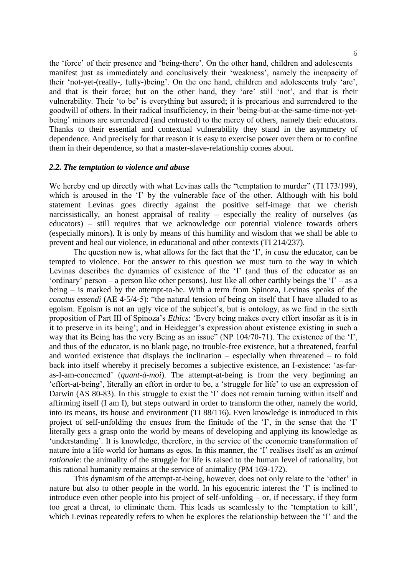the 'force' of their presence and 'being-there'. On the other hand, children and adolescents manifest just as immediately and conclusively their 'weakness', namely the incapacity of their 'not-yet-(really-, fully-)being'. On the one hand, children and adolescents truly 'are', and that is their force; but on the other hand, they 'are' still 'not', and that is their vulnerability. Their 'to be' is everything but assured; it is precarious and surrendered to the goodwill of others. In their radical insufficiency, in their 'being-but-at-the-same-time-not-yetbeing' minors are surrendered (and entrusted) to the mercy of others, namely their educators. Thanks to their essential and contextual vulnerability they stand in the asymmetry of dependence. And precisely for that reason it is easy to exercise power over them or to confine them in their dependence, so that a master-slave-relationship comes about.

#### *2.2. The temptation to violence and abuse*

We hereby end up directly with what Levinas calls the "temptation to murder" (TI 173/199), which is aroused in the 'I' by the vulnerable face of the other. Although with his bold statement Levinas goes directly against the positive self-image that we cherish narcissistically, an honest appraisal of reality – especially the reality of ourselves (as educators) – still requires that we acknowledge our potential violence towards others (especially minors). It is only by means of this humility and wisdom that we shall be able to prevent and heal our violence, in educational and other contexts (TI 214/237).

The question now is, what allows for the fact that the 'I', *in casu* the educator, can be tempted to violence. For the answer to this question we must turn to the way in which Levinas describes the dynamics of existence of the 'I' (and thus of the educator as an 'ordinary' person – a person like other persons). Just like all other earthly beings the ' $I'$  – as a being – is marked by the attempt-to-be. With a term from Spinoza, Levinas speaks of the *conatus essendi* (AE 4-5/4-5): "the natural tension of being on itself that I have alluded to as egoism. Egoism is not an ugly vice of the subject's, but is ontology, as we find in the sixth proposition of Part III of Spinoza's *Ethics*: 'Every being makes every effort insofar as it is in it to preserve in its being'; and in Heidegger's expression about existence existing in such a way that its Being has the very Being as an issue" (NP 104/70-71). The existence of the 'I', and thus of the educator, is no blank page, no trouble-free existence, but a threatened, fearful and worried existence that displays the inclination – especially when threatened – to fold back into itself whereby it precisely becomes a subjective existence, an I-existence: 'as-faras-I-am-concerned' (*quant-à-moi*). The attempt-at-being is from the very beginning an 'effort-at-being', literally an effort in order to be, a 'struggle for life' to use an expression of Darwin (AS 80-83). In this struggle to exist the 'I' does not remain turning within itself and affirming itself (I am I), but steps outward in order to transform the other, namely the world, into its means, its house and environment (TI 88/116). Even knowledge is introduced in this project of self-unfolding the ensues from the finitude of the 'I', in the sense that the 'I' literally gets a grasp onto the world by means of developing and applying its knowledge as 'understanding'. It is knowledge, therefore, in the service of the economic transformation of nature into a life world for humans as egos. In this manner, the 'I' realises itself as an *animal rationale*: the animality of the struggle for life is raised to the human level of rationality, but this rational humanity remains at the service of animality (PM 169-172).

This dynamism of the attempt-at-being, however, does not only relate to the 'other' in nature but also to other people in the world. In his egocentric interest the 'I' is inclined to introduce even other people into his project of self-unfolding – or, if necessary, if they form too great a threat, to eliminate them. This leads us seamlessly to the 'temptation to kill', which Levinas repeatedly refers to when he explores the relationship between the 'I' and the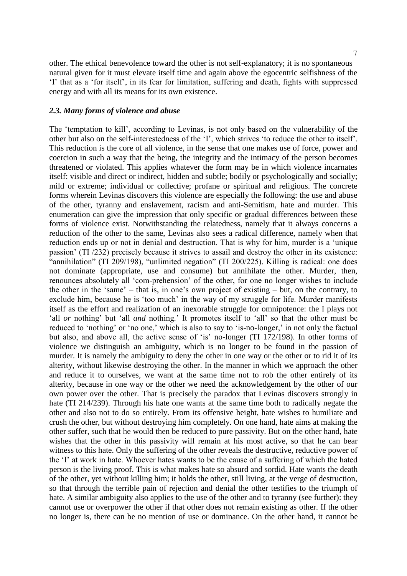7

other. The ethical benevolence toward the other is not self-explanatory; it is no spontaneous natural given for it must elevate itself time and again above the egocentric selfishness of the 'I' that as a 'for itself', in its fear for limitation, suffering and death, fights with suppressed energy and with all its means for its own existence.

## *2.3. Many forms of violence and abuse*

The 'temptation to kill', according to Levinas, is not only based on the vulnerability of the other but also on the self-interestedness of the 'I', which strives 'to reduce the other to itself'. This reduction is the core of all violence, in the sense that one makes use of force, power and coercion in such a way that the being, the integrity and the intimacy of the person becomes threatened or violated. This applies whatever the form may be in which violence incarnates itself: visible and direct or indirect, hidden and subtle; bodily or psychologically and socially; mild or extreme; individual or collective; profane or spiritual and religious. The concrete forms wherein Levinas discovers this violence are especially the following: the use and abuse of the other, tyranny and enslavement, racism and anti-Semitism, hate and murder. This enumeration can give the impression that only specific or gradual differences between these forms of violence exist. Notwithstanding the relatedness, namely that it always concerns a reduction of the other to the same, Levinas also sees a radical difference, namely when that reduction ends up or not in denial and destruction. That is why for him, murder is a 'unique passion' (TI /232) precisely because it strives to assail and destroy the other in its existence: "annihilation" (TI 209/198), "unlimited negation" (TI 200/225). Killing is radical: one does not dominate (appropriate, use and consume) but annihilate the other. Murder, then, renounces absolutely all 'com-prehension' of the other, for one no longer wishes to include the other in the 'same' – that is, in one's own project of existing – but, on the contrary, to exclude him, because he is 'too much' in the way of my struggle for life. Murder manifests itself as the effort and realization of an inexorable struggle for omnipotence: the I plays not 'all *or* nothing' but 'all *and* nothing.' It promotes itself to 'all' so that the other must be reduced to 'nothing' or 'no one,' which is also to say to 'is-no-longer,' in not only the factual but also, and above all, the active sense of 'is' no-longer (TI 172/198). In other forms of violence we distinguish an ambiguity, which is no longer to be found in the passion of murder. It is namely the ambiguity to deny the other in one way or the other or to rid it of its alterity, without likewise destroying the other. In the manner in which we approach the other and reduce it to ourselves, we want at the same time not to rob the other entirely of its alterity, because in one way or the other we need the acknowledgement by the other of our own power over the other. That is precisely the paradox that Levinas discovers strongly in hate (TI 214/239). Through his hate one wants at the same time both to radically negate the other and also not to do so entirely. From its offensive height, hate wishes to humiliate and crush the other, but without destroying him completely. On one hand, hate aims at making the other suffer, such that he would then be reduced to pure passivity. But on the other hand, hate wishes that the other in this passivity will remain at his most active, so that he can bear witness to this hate. Only the suffering of the other reveals the destructive, reductive power of the 'I' at work in hate. Whoever hates wants to be the cause of a suffering of which the hated person is the living proof. This is what makes hate so absurd and sordid. Hate wants the death of the other, yet without killing him; it holds the other, still living, at the verge of destruction, so that through the terrible pain of rejection and denial the other testifies to the triumph of hate. A similar ambiguity also applies to the use of the other and to tyranny (see further): they cannot use or overpower the other if that other does not remain existing as other. If the other no longer is, there can be no mention of use or dominance. On the other hand, it cannot be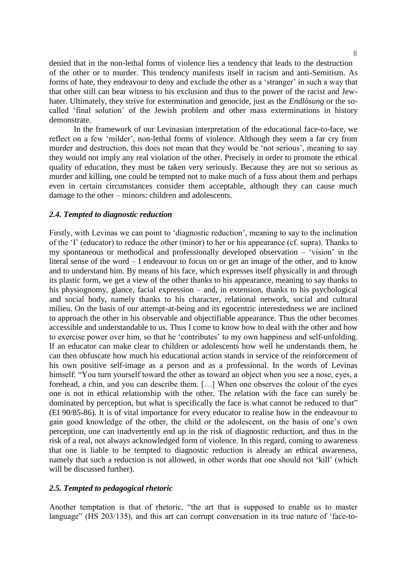denied that in the non-lethal forms of violence lies a tendency that leads to the destruction of the other or to murder. This tendency manifests itself in racism and anti-Semitism. As forms of hate, they endeavour to deny and exclude the other as a 'stranger' in such a way that that other still can bear witness to his exclusion and thus to the power of the racist and Jewhater. Ultimately, they strive for extermination and genocide, just as the *Endlösung* or the socalled 'final solution' of the Jewish problem and other mass exterminations in history demonstrate.

In the framework of our Levinasian interpretation of the educational face-to-face, we reflect on a few 'milder', non-lethal forms of violence. Although they seem a far cry from murder and destruction, this does not mean that they would be 'not serious', meaning to say they would not imply any real violation of the other. Precisely in order to promote the ethical quality of education, they must be taken very seriously. Because they are not so serious as murder and killing, one could be tempted not to make much of a fuss about them and perhaps even in certain circumstances consider them acceptable, although they can cause much damage to the other – minors: children and adolescents.

#### *2.4. Tempted to diagnostic reduction*

Firstly, with Levinas we can point to 'diagnostic reduction', meaning to say to the inclination of the 'I' (educator) to reduce the other (minor) to her or his appearance (cf. supra). Thanks to my spontaneous or methodical and professionally developed observation – 'vision' in the literal sense of the word – I endeavour to focus on or get an image of the other, and to know and to understand him. By means of his face, which expresses itself physically in and through its plastic form, we get a view of the other thanks to his appearance, meaning to say thanks to his physiognomy, glance, facial expression – and, in extension, thanks to his psychological and social body, namely thanks to his character, relational network, social and cultural milieu. On the basis of our attempt-at-being and its egocentric interestedness we are inclined to approach the other in his observable and objectifiable appearance. Thus the other becomes accessible and understandable to us. Thus I come to know how to deal with the other and how to exercise power over him, so that he 'contributes' to my own happiness and self-unfolding. If an educator can make clear to children or adolescents how well he understands them, he can then obfuscate how much his educational action stands in service of the reinforcement of his own positive self-image as a person and as a professional. In the words of Levinas himself: "You turn yourself toward the other as toward an object when you see a nose, eyes, a forehead, a chin, and you can describe them. […] When one observes the colour of the eyes one is not in ethical relationship with the other. The relation with the face can surely be dominated by perception, but what is specifically the face is what cannot be reduced to that" (EI 90/85-86). It is of vital importance for every educator to realise how in the endeavour to gain good knowledge of the other, the child or the adolescent, on the basis of one's own perception, one can inadvertently end up in the risk of diagnostic reduction, and thus in the risk of a real, not always acknowledged form of violence. In this regard, coming to awareness that one is liable to be tempted to diagnostic reduction is already an ethical awareness, namely that such a reduction is not allowed, in other words that one should not 'kill' (which will be discussed further).

## *2.5. Tempted to pedagogical rhetoric*

Another temptation is that of rhetoric, "the art that is supposed to enable us to master language" (HS 203/135), and this art can corrupt conversation in its true nature of 'face-to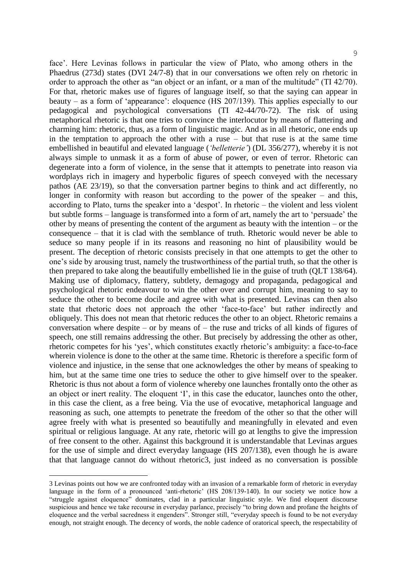face'. Here Levinas follows in particular the view of Plato, who among others in the Phaedrus (273d) states (DVI 24/7-8) that in our conversations we often rely on rhetoric in order to approach the other as "an object or an infant, or a man of the multitude" (TI 42/70). For that, rhetoric makes use of figures of language itself, so that the saying can appear in beauty – as a form of 'appearance': eloquence (HS 207/139). This applies especially to our pedagogical and psychological conversations (TI 42-44/70-72). The risk of using metaphorical rhetoric is that one tries to convince the interlocutor by means of flattering and charming him: rhetoric, thus, as a form of linguistic magic. And as in all rhetoric, one ends up in the temptation to approach the other with a ruse – but that ruse is at the same time embellished in beautiful and elevated language (*'belletterie'*) (DL 356/277), whereby it is not always simple to unmask it as a form of abuse of power, or even of terror. Rhetoric can degenerate into a form of violence, in the sense that it attempts to penetrate into reason via wordplays rich in imagery and hyperbolic figures of speech conveyed with the necessary pathos (AE 23/19), so that the conversation partner begins to think and act differently, no longer in conformity with reason but according to the power of the speaker – and this, according to Plato, turns the speaker into a 'despot'. In rhetoric – the violent and less violent but subtle forms – language is transformed into a form of art, namely the art to 'persuade' the other by means of presenting the content of the argument as beauty with the intention – or the consequence – that it is clad with the semblance of truth. Rhetoric would never be able to seduce so many people if in its reasons and reasoning no hint of plausibility would be present. The deception of rhetoric consists precisely in that one attempts to get the other to one's side by arousing trust, namely the trustworthiness of the partial truth, so that the other is then prepared to take along the beautifully embellished lie in the guise of truth (QLT 138/64). Making use of diplomacy, flattery, subtlety, demagogy and propaganda, pedagogical and psychological rhetoric endeavour to win the other over and corrupt him, meaning to say to seduce the other to become docile and agree with what is presented. Levinas can then also state that rhetoric does not approach the other 'face-to-face' but rather indirectly and obliquely. This does not mean that rhetoric reduces the other to an object. Rhetoric remains a conversation where despite – or by means of – the ruse and tricks of all kinds of figures of speech, one still remains addressing the other. But precisely by addressing the other as other, rhetoric competes for his 'yes', which constitutes exactly rhetoric's ambiguity: a face-to-face wherein violence is done to the other at the same time. Rhetoric is therefore a specific form of violence and injustice, in the sense that one acknowledges the other by means of speaking to him, but at the same time one tries to seduce the other to give himself over to the speaker. Rhetoric is thus not about a form of violence whereby one launches frontally onto the other as an object or inert reality. The eloquent 'I', in this case the educator, launches onto the other, in this case the client, as a free being. Via the use of evocative, metaphorical language and reasoning as such, one attempts to penetrate the freedom of the other so that the other will agree freely with what is presented so beautifully and meaningfully in elevated and even spiritual or religious language. At any rate, rhetoric will go at lengths to give the impression of free consent to the other. Against this background it is understandable that Levinas argues for the use of simple and direct everyday language (HS 207/138), even though he is aware that that language cannot do without rhetoric3, just indeed as no conversation is possible

—<br>—

<sup>3</sup> Levinas points out how we are confronted today with an invasion of a remarkable form of rhetoric in everyday language in the form of a pronounced 'anti-rhetoric' (HS 208/139-140). In our society we notice how a "struggle against eloquence" dominates, clad in a particular linguistic style. We find eloquent discourse suspicious and hence we take recourse in everyday parlance, precisely "to bring down and profane the heights of eloquence and the verbal sacredness it engenders". Stronger still, "everyday speech is found to be not everyday enough, not straight enough. The decency of words, the noble cadence of oratorical speech, the respectability of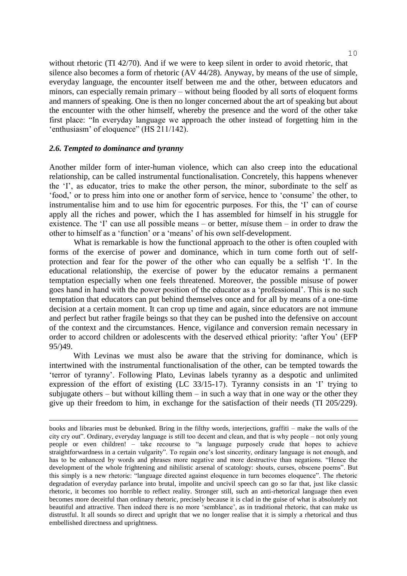without rhetoric (TI 42/70). And if we were to keep silent in order to avoid rhetoric, that silence also becomes a form of rhetoric (AV 44/28). Anyway, by means of the use of simple, everyday language, the encounter itself between me and the other, between educators and minors, can especially remain primary – without being flooded by all sorts of eloquent forms and manners of speaking. One is then no longer concerned about the art of speaking but about the encounter with the other himself, whereby the presence and the word of the other take first place: "In everyday language we approach the other instead of forgetting him in the 'enthusiasm' of eloquence" (HS 211/142).

## *2.6. Tempted to dominance and tyranny*

—<br>—

Another milder form of inter-human violence, which can also creep into the educational relationship, can be called instrumental functionalisation. Concretely, this happens whenever the 'I', as educator, tries to make the other person, the minor, subordinate to the self as 'food,' or to press him into one or another form of service, hence to 'consume' the other, to instrumentalise him and to use him for egocentric purposes. For this, the 'I' can of course apply all the riches and power, which the I has assembled for himself in his struggle for existence. The 'I' can use all possible means – or better, *mis*use them – in order to draw the other to himself as a 'function' or a 'means' of his own self-development.

What is remarkable is how the functional approach to the other is often coupled with forms of the exercise of power and dominance, which in turn come forth out of selfprotection and fear for the power of the other who can equally be a selfish 'I'. In the educational relationship, the exercise of power by the educator remains a permanent temptation especially when one feels threatened. Moreover, the possible misuse of power goes hand in hand with the power position of the educator as a 'professional'. This is no such temptation that educators can put behind themselves once and for all by means of a one-time decision at a certain moment. It can crop up time and again, since educators are not immune and perfect but rather fragile beings so that they can be pushed into the defensive on account of the context and the circumstances. Hence, vigilance and conversion remain necessary in order to accord children or adolescents with the deserved ethical priority: 'after You' (EFP 95/)49.

With Levinas we must also be aware that the striving for dominance, which is intertwined with the instrumental functionalisation of the other, can be tempted towards the 'terror of tyranny'. Following Plato, Levinas labels tyranny as a despotic and unlimited expression of the effort of existing (LC 33/15-17). Tyranny consists in an 'I' trying to subjugate others – but without killing them – in such a way that in one way or the other they give up their freedom to him, in exchange for the satisfaction of their needs (TI 205/229).

books and libraries must be debunked. Bring in the filthy words, interjections, graffiti – make the walls of the city cry out". Ordinary, everyday language is still too decent and clean, and that is why people – not only young people or even children! – take recourse to "a language purposely crude that hopes to achieve straightforwardness in a certain vulgarity". To regain one's lost sincerity, ordinary language is not enough, and has to be enhanced by words and phrases more negative and more destructive than negations. "Hence the development of the whole frightening and nihilistic arsenal of scatology: shouts, curses, obscene poems". But this simply is a new rhetoric: "language directed against eloquence in turn becomes eloquence". The rhetoric degradation of everyday parlance into brutal, impolite and uncivil speech can go so far that, just like classic rhetoric, it becomes too horrible to reflect reality. Stronger still, such an anti-rhetorical language then even becomes more deceitful than ordinary rhetoric, precisely because it is clad in the guise of what is absolutely not beautiful and attractive. Then indeed there is no more 'semblance', as in traditional rhetoric, that can make us distrustful. It all sounds so direct and upright that we no longer realise that it is simply a rhetorical and thus embellished directness and uprightness.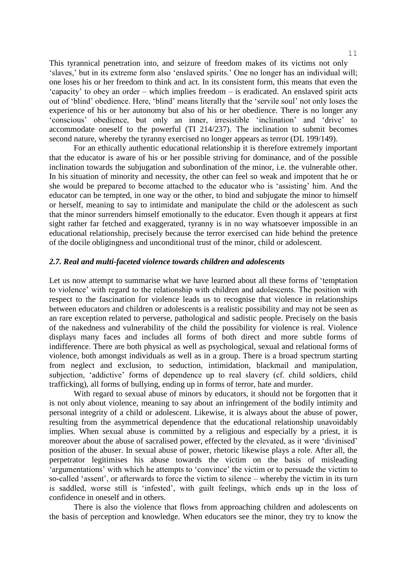This tyrannical penetration into, and seizure of freedom makes of its victims not only 'slaves,' but in its extreme form also 'enslaved spirits.' One no longer has an individual will; one loses his or her freedom to think and act. In its consistent form, this means that even the 'capacity' to obey an order – which implies freedom – is eradicated. An enslaved spirit acts out of 'blind' obedience. Here, 'blind' means literally that the 'servile soul' not only loses the experience of his or her autonomy but also of his or her obedience. There is no longer any 'conscious' obedience, but only an inner, irresistible 'inclination' and 'drive' to accommodate oneself to the powerful (TI 214/237). The inclination to submit becomes second nature, whereby the tyranny exercised no longer appears as terror (DL 199/149).

For an ethically authentic educational relationship it is therefore extremely important that the educator is aware of his or her possible striving for dominance, and of the possible inclination towards the subjugation and subordination of the minor, i.e. the vulnerable other. In his situation of minority and necessity, the other can feel so weak and impotent that he or she would be prepared to become attached to the educator who is 'assisting' him. And the educator can be tempted, in one way or the other, to bind and subjugate the minor to himself or herself, meaning to say to intimidate and manipulate the child or the adolescent as such that the minor surrenders himself emotionally to the educator. Even though it appears at first sight rather far fetched and exaggerated, tyranny is in no way whatsoever impossible in an educational relationship, precisely because the terror exercised can hide behind the pretence of the docile obligingness and unconditional trust of the minor, child or adolescent.

#### *2.7. Real and multi-faceted violence towards children and adolescents*

Let us now attempt to summarise what we have learned about all these forms of 'temptation to violence' with regard to the relationship with children and adolescents. The position with respect to the fascination for violence leads us to recognise that violence in relationships between educators and children or adolescents is a realistic possibility and may not be seen as an rare exception related to perverse, pathological and sadistic people. Precisely on the basis of the nakedness and vulnerability of the child the possibility for violence is real. Violence displays many faces and includes all forms of both direct and more subtle forms of indifference. There are both physical as well as psychological, sexual and relational forms of violence, both amongst individuals as well as in a group. There is a broad spectrum starting from neglect and exclusion, to seduction, intimidation, blackmail and manipulation, subjection, 'addictive' forms of dependence up to real slavery (cf. child soldiers, child trafficking), all forms of bullying, ending up in forms of terror, hate and murder.

With regard to sexual abuse of minors by educators, it should not be forgotten that it is not only about violence, meaning to say about an infringement of the bodily intimity and personal integrity of a child or adolescent. Likewise, it is always about the abuse of power, resulting from the asymmetrical dependence that the educational relationship unavoidably implies. When sexual abuse is committed by a religious and especially by a priest, it is moreover about the abuse of sacralised power, effected by the elevated, as it were 'divinised' position of the abuser. In sexual abuse of power, rhetoric likewise plays a role. After all, the perpetrator legitimises his abuse towards the victim on the basis of misleading 'argumentations' with which he attempts to 'convince' the victim or to persuade the victim to so-called 'assent', or afterwards to force the victim to silence – whereby the victim in its turn is saddled, worse still is 'infested', with guilt feelings, which ends up in the loss of confidence in oneself and in others.

There is also the violence that flows from approaching children and adolescents on the basis of perception and knowledge. When educators see the minor, they try to know the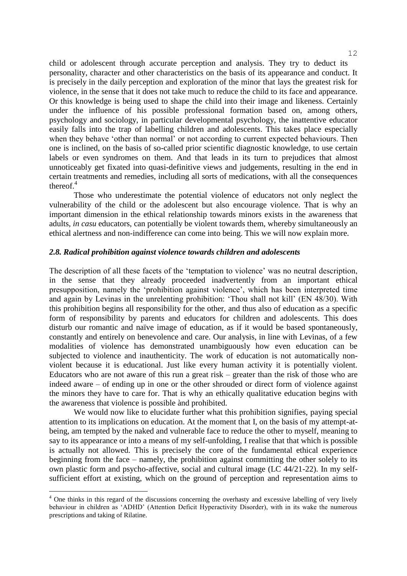child or adolescent through accurate perception and analysis. They try to deduct its personality, character and other characteristics on the basis of its appearance and conduct. It is precisely in the daily perception and exploration of the minor that lays the greatest risk for violence, in the sense that it does not take much to reduce the child to its face and appearance. Or this knowledge is being used to shape the child into their image and likeness. Certainly under the influence of his possible professional formation based on, among others, psychology and sociology, in particular developmental psychology, the inattentive educator easily falls into the trap of labelling children and adolescents. This takes place especially when they behave 'other than normal' or not according to current expected behaviours. Then one is inclined, on the basis of so-called prior scientific diagnostic knowledge, to use certain labels or even syndromes on them. And that leads in its turn to prejudices that almost unnoticeably get fixated into quasi-definitive views and judgements, resulting in the end in certain treatments and remedies, including all sorts of medications, with all the consequences thereof. $4$ 

Those who underestimate the potential violence of educators not only neglect the vulnerability of the child or the adolescent but also encourage violence. That is why an important dimension in the ethical relationship towards minors exists in the awareness that adults, *in casu* educators, can potentially be violent towards them, whereby simultaneously an ethical alertness and non-indifference can come into being. This we will now explain more.

# *2.8. Radical prohibition against violence towards children and adolescents*

The description of all these facets of the 'temptation to violence' was no neutral description, in the sense that they already proceeded inadvertently from an important ethical presupposition, namely the 'prohibition against violence', which has been interpreted time and again by Levinas in the unrelenting prohibition: 'Thou shall not kill' (EN 48/30). With this prohibition begins all responsibility for the other, and thus also of education as a specific form of responsibility by parents and educators for children and adolescents. This does disturb our romantic and naïve image of education, as if it would be based spontaneously, constantly and entirely on benevolence and care. Our analysis, in line with Levinas, of a few modalities of violence has demonstrated unambiguously how even education can be subjected to violence and inauthenticity. The work of education is not automatically nonviolent because it is educational. Just like every human activity it is potentially violent. Educators who are not aware of this run a great risk – greater than the risk of those who are indeed aware – of ending up in one or the other shrouded or direct form of violence against the minors they have to care for. That is why an ethically qualitative education begins with the awareness that violence is possible ànd prohibited.

We would now like to elucidate further what this prohibition signifies, paying special attention to its implications on education. At the moment that I, on the basis of my attempt-atbeing, am tempted by the naked and vulnerable face to reduce the other to myself, meaning to say to its appearance or into a means of my self-unfolding, I realise that that which is possible is actually not allowed. This is precisely the core of the fundamental ethical experience beginning from the face – namely, the prohibition against committing the other solely to its own plastic form and psycho-affective, social and cultural image (LC 44/21-22). In my selfsufficient effort at existing, which on the ground of perception and representation aims to

—<br>—

<sup>&</sup>lt;sup>4</sup> One thinks in this regard of the discussions concerning the overhasty and excessive labelling of very lively behaviour in children as 'ADHD' (Attention Deficit Hyperactivity Disorder), with in its wake the numerous prescriptions and taking of Rilatine.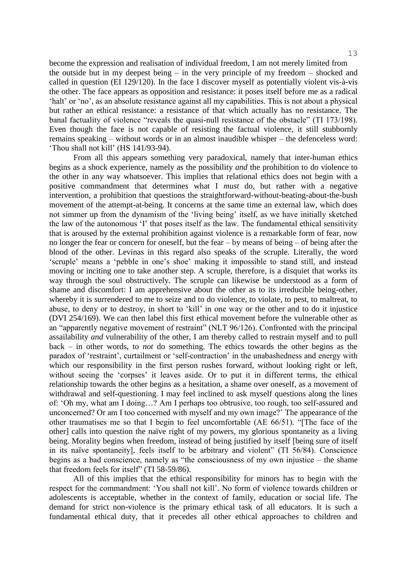13

become the expression and realisation of individual freedom, I am not merely limited from the outside but in my deepest being – in the very principle of my freedom – shocked and called in question (EI 129/120). In the face I discover myself as potentially violent vis-à-vis the other. The face appears as opposition and resistance: it poses itself before me as a radical 'halt' or 'no', as an absolute resistance against all my capabilities. This is not about a physical but rather an ethical resistance: a resistance of that which actually has no resistance. The banal factuality of violence "reveals the quasi-null resistance of the obstacle" (TI 173/198). Even though the face is not capable of resisting the factual violence, it still stubbornly remains speaking – without words or in an almost inaudible whisper – the defenceless word: 'Thou shall not kill' (HS 141/93-94).

From all this appears something very paradoxical, namely that inter-human ethics begins as a shock experience, namely as the possibility *and* the prohibition to do violence to the other in any way whatsoever. This implies that relational ethics does not begin with a positive commandment that determines what I *must* do, but rather with a negative intervention, a prohibition that questions the straightforward-without-beating-about-the-bush movement of the attempt-at-being. It concerns at the same time an external law, which does not simmer up from the dynamism of the 'living being' itself, as we have initially sketched the law of the autonomous 'I' that poses itself as the law. The fundamental ethical sensitivity that is aroused by the external prohibition against violence is a remarkable form of fear, now no longer the fear or concern for oneself, but the fear – by means of being – of being after the blood of the other. Levinas in this regard also speaks of the scruple. Literally, the word 'scruple' means a 'pebble in one's shoe' making it impossible to stand still, and instead moving or inciting one to take another step. A scruple, therefore, is a disquiet that works its way through the soul obstructively. The scruple can likewise be understood as a form of shame and discomfort: I am apprehensive about the other as to its irreducible being-other, whereby it is surrendered to me to seize and to do violence, to violate, to pest, to maltreat, to abuse, to deny or to destroy, in short to 'kill' in one way or the other and to do it injustice (DVI 254/169). We can then label this first ethical movement before the vulnerable other as an "apparently negative movement of restraint" (NLT 96/126). Confronted with the principal assailability *and* vulnerability of the other, I am thereby called to restrain myself and to pull back – in other words, to *not* do something. The ethics towards the other begins as the paradox of 'restraint', curtailment or 'self-contraction' in the unabashedness and energy with which our responsibility in the first person rushes forward, without looking right or left, without seeing the 'corpses' it leaves aside. Or to put it in different terms, the ethical relationship towards the other begins as a hesitation, a shame over oneself, as a movement of withdrawal and self-questioning. I may feel inclined to ask myself questions along the lines of: 'Oh my, what am I doing…? Am I perhaps too obtrusive, too rough, too self-assured and unconcerned? Or am I too concerned with myself and my own image?' The appearance of the other traumatises me so that I begin to feel uncomfortable (AE 66/51). "[The face of the other] calls into question the naïve right of my powers, my glorious spontaneity as a living being. Morality begins when freedom, instead of being justified by itself [being sure of itself in its naïve spontaneity], feels itself to be arbitrary and violent" (TI 56/84). Conscience begins as a bad conscience, namely as "the consciousness of my own injustice – the shame that freedom feels for itself" (TI 58-59/86).

All of this implies that the ethical responsibility for minors has to begin with the respect for the commandment: 'You shall not kill'. No form of violence towards children or adolescents is acceptable, whether in the context of family, education or social life. The demand for strict non-violence is the primary ethical task of all educators. It is such a fundamental ethical duty, that it precedes all other ethical approaches to children and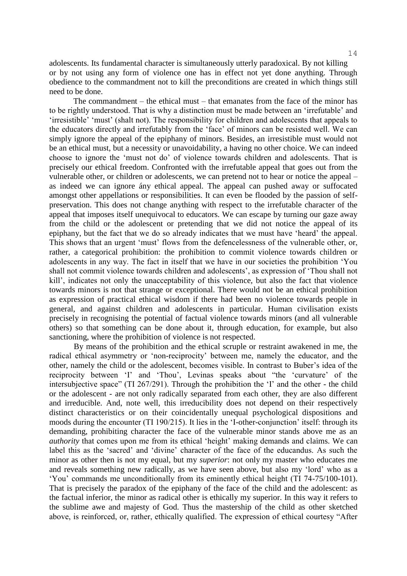adolescents. Its fundamental character is simultaneously utterly paradoxical. By not killing or by not using any form of violence one has in effect not yet done anything. Through obedience to the commandment not to kill the preconditions are created in which things still need to be done.

The commandment – the ethical must – that emanates from the face of the minor has to be rightly understood. That is why a distinction must be made between an 'irrefutable' and 'irresistible' 'must' (shalt not). The responsibility for children and adolescents that appeals to the educators directly and irrefutably from the 'face' of minors can be resisted well. We can simply ignore the appeal of the epiphany of minors. Besides, an irresistible must would not be an ethical must, but a necessity or unavoidability, a having no other choice. We can indeed choose to ignore the 'must not do' of violence towards children and adolescents. That is precisely our ethical freedom. Confronted with the irrefutable appeal that goes out from the vulnerable other, or children or adolescents, we can pretend not to hear or notice the appeal – as indeed we can ignore ány ethical appeal. The appeal can pushed away or suffocated amongst other appellations or responsibilities. It can even be flooded by the passion of selfpreservation. This does not change anything with respect to the irrefutable character of the appeal that imposes itself unequivocal to educators. We can escape by turning our gaze away from the child or the adolescent or pretending that we did not notice the appeal of its epiphany, but the fact that we do so already indicates that we must have 'heard' the appeal. This shows that an urgent 'must' flows from the defencelessness of the vulnerable other, or, rather, a categorical prohibition: the prohibition to commit violence towards children or adolescents in any way. The fact in itself that we have in our societies the prohibition 'You shall not commit violence towards children and adolescents', as expression of 'Thou shall not kill', indicates not only the unacceptability of this violence, but also the fact that violence towards minors is not that strange or exceptional. There would not be an ethical prohibition as expression of practical ethical wisdom if there had been no violence towards people in general, and against children and adolescents in particular. Human civilisation exists precisely in recognising the potential of factual violence towards minors (and all vulnerable others) so that something can be done about it, through education, for example, but also sanctioning, where the prohibition of violence is not respected.

By means of the prohibition and the ethical scruple or restraint awakened in me, the radical ethical asymmetry or 'non-reciprocity' between me, namely the educator, and the other, namely the child or the adolescent, becomes visible. In contrast to Buber's idea of the reciprocity between 'I' and 'Thou', Levinas speaks about "the 'curvature' of the intersubjective space" (TI 267/291). Through the prohibition the 'I' and the other - the child or the adolescent - are not only radically separated from each other, they are also different and irreducible. And, note well, this irreducibility does not depend on their respectively distinct characteristics or on their coincidentally unequal psychological dispositions and moods during the encounter (TI 190/215). It lies in the 'I-other-conjunction' itself: through its demanding, prohibiting character the face of the vulnerable minor stands above me as an *authority* that comes upon me from its ethical 'height' making demands and claims. We can label this as the 'sacred' and 'divine' character of the face of the educandus. As such the minor as other then is not my equal, but my *superior*: not only my master who educates me and reveals something new radically, as we have seen above, but also my 'lord' who as a 'You' commands me unconditionally from its eminently ethical height (TI 74-75/100-101). That is precisely the paradox of the epiphany of the face of the child and the adolescent: as the factual inferior, the minor as radical other is ethically my superior. In this way it refers to the sublime awe and majesty of God. Thus the mastership of the child as other sketched above, is reinforced, or, rather, ethically qualified. The expression of ethical courtesy "After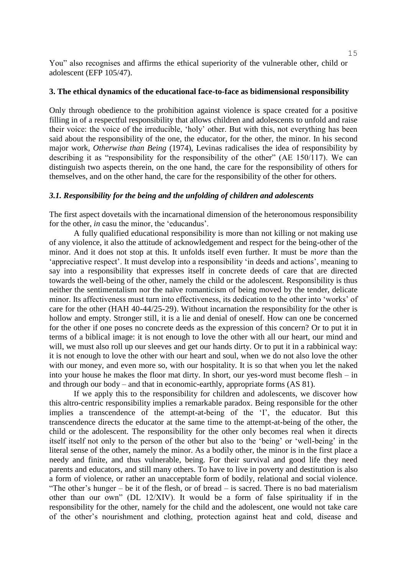You" also recognises and affirms the ethical superiority of the vulnerable other, child or adolescent (EFP 105/47).

#### **3. The ethical dynamics of the educational face-to-face as bidimensional responsibility**

Only through obedience to the prohibition against violence is space created for a positive filling in of a respectful responsibility that allows children and adolescents to unfold and raise their voice: the voice of the irreducible, 'holy' other. But with this, not everything has been said about the responsibility of the one, the educator, for the other, the minor. In his second major work, *Otherwise than Being* (1974), Levinas radicalises the idea of responsibility by describing it as "responsibility for the responsibility of the other" (AE 150/117). We can distinguish two aspects therein, on the one hand, the care for the responsibility of others for themselves, and on the other hand, the care for the responsibility of the other for others.

#### *3.1. Responsibility for the being and the unfolding of children and adolescents*

The first aspect dovetails with the incarnational dimension of the heteronomous responsibility for the other, *in* casu the minor, the 'educandus'.

A fully qualified educational responsibility is more than not killing or not making use of any violence, it also the attitude of acknowledgement and respect for the being-other of the minor. And it does not stop at this. It unfolds itself even further. It must be *more* than the 'appreciative respect'. It must develop into a responsibility 'in deeds and actions', meaning to say into a responsibility that expresses itself in concrete deeds of care that are directed towards the well-being of the other, namely the child or the adolescent. Responsibility is thus neither the sentimentalism nor the naïve romanticism of being moved by the tender, delicate minor. Its affectiveness must turn into effectiveness, its dedication to the other into 'works' of care for the other (HAH 40-44/25-29). Without incarnation the responsibility for the other is hollow and empty. Stronger still, it is a lie and denial of oneself. How can one be concerned for the other if one poses no concrete deeds as the expression of this concern? Or to put it in terms of a biblical image: it is not enough to love the other with all our heart, our mind and will, we must also roll up our sleeves and get our hands dirty. Or to put it in a rabbinical way: it is not enough to love the other with our heart and soul, when we do not also love the other with our money, and even more so, with our hospitality. It is so that when you let the naked into your house he makes the floor mat dirty. In short, our yes-word must become flesh – in and through our body – and that in economic-earthly, appropriate forms (AS 81).

If we apply this to the responsibility for children and adolescents, we discover how this altro-centric responsibility implies a remarkable paradox. Being responsible for the other implies a transcendence of the attempt-at-being of the 'I', the educator. But this transcendence directs the educator at the same time to the attempt-at-being of the other, the child or the adolescent. The responsibility for the other only becomes real when it directs itself itself not only to the person of the other but also to the 'being' or 'well-being' in the literal sense of the other, namely the minor. As a bodily other, the minor is in the first place a needy and finite, and thus vulnerable, being. For their survival and good life they need parents and educators, and still many others. To have to live in poverty and destitution is also a form of violence, or rather an unacceptable form of bodily, relational and social violence. "The other's hunger – be it of the flesh, or of bread – is sacred. There is no bad materialism other than our own" (DL 12/XIV). It would be a form of false spirituality if in the responsibility for the other, namely for the child and the adolescent, one would not take care of the other's nourishment and clothing, protection against heat and cold, disease and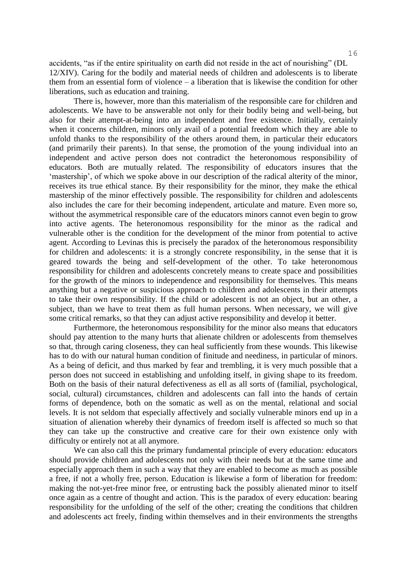accidents, "as if the entire spirituality on earth did not reside in the act of nourishing" (DL 12/XIV). Caring for the bodily and material needs of children and adolescents is to liberate them from an essential form of violence – a liberation that is likewise the condition for other liberations, such as education and training.

There is, however, more than this materialism of the responsible care for children and adolescents. We have to be answerable not only for their bodily being and well-being, but also for their attempt-at-being into an independent and free existence. Initially, certainly when it concerns children, minors only avail of a potential freedom which they are able to unfold thanks to the responsibility of the others around them, in particular their educators (and primarily their parents). In that sense, the promotion of the young individual into an independent and active person does not contradict the heteronomous responsibility of educators. Both are mutually related. The responsibility of educators insures that the 'mastership', of which we spoke above in our description of the radical alterity of the minor, receives its true ethical stance. By their responsibility for the minor, they make the ethical mastership of the minor effectively possible. The responsibility for children and adolescents also includes the care for their becoming independent, articulate and mature. Even more so, without the asymmetrical responsible care of the educators minors cannot even begin to grow into active agents. The heteronomous responsibility for the minor as the radical and vulnerable other is the condition for the development of the minor from potential to active agent. According to Levinas this is precisely the paradox of the heteronomous responsibility for children and adolescents: it is a strongly concrete responsibility, in the sense that it is geared towards the being and self-development of the other. To take heteronomous responsibility for children and adolescents concretely means to create space and possibilities for the growth of the minors to independence and responsibility for themselves. This means anything but a negative or suspicious approach to children and adolescents in their attempts to take their own responsibility. If the child or adolescent is not an object, but an other, a subject, than we have to treat them as full human persons. When necessary, we will give some critical remarks, so that they can adjust active responsibility and develop it better.

Furthermore, the heteronomous responsibility for the minor also means that educators should pay attention to the many hurts that alienate children or adolescents from themselves so that, through caring closeness, they can heal sufficiently from these wounds. This likewise has to do with our natural human condition of finitude and neediness, in particular of minors. As a being of deficit, and thus marked by fear and trembling, it is very much possible that a person does not succeed in establishing and unfolding itself, in giving shape to its freedom. Both on the basis of their natural defectiveness as ell as all sorts of (familial, psychological, social, cultural) circumstances, children and adolescents can fall into the hands of certain forms of dependence, both on the somatic as well as on the mental, relational and social levels. It is not seldom that especially affectively and socially vulnerable minors end up in a situation of alienation whereby their dynamics of freedom itself is affected so much so that they can take up the constructive and creative care for their own existence only with difficulty or entirely not at all anymore.

We can also call this the primary fundamental principle of every education: educators should provide children and adolescents not only with their needs but at the same time and especially approach them in such a way that they are enabled to become as much as possible a free, if not a wholly free, person. Education is likewise a form of liberation for freedom: making the not-yet-free minor free, or entrusting back the possibly alienated minor to itself once again as a centre of thought and action. This is the paradox of every education: bearing responsibility for the unfolding of the self of the other; creating the conditions that children and adolescents act freely, finding within themselves and in their environments the strengths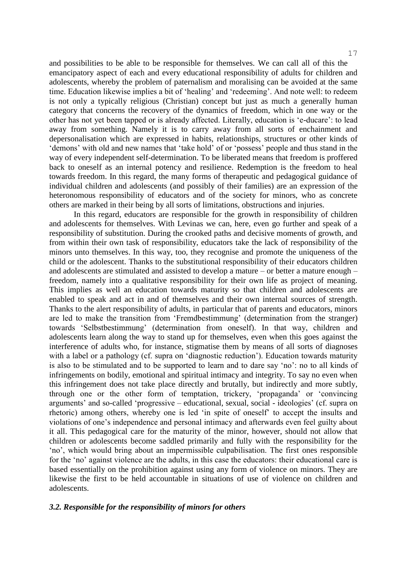and possibilities to be able to be responsible for themselves. We can call all of this the emancipatory aspect of each and every educational responsibility of adults for children and adolescents, whereby the problem of paternalism and moralising can be avoided at the same time. Education likewise implies a bit of 'healing' and 'redeeming'. And note well: to redeem is not only a typically religious (Christian) concept but just as much a generally human category that concerns the recovery of the dynamics of freedom, which in one way or the other has not yet been tapped or is already affected. Literally, education is 'e-ducare': to lead away from something. Namely it is to carry away from all sorts of enchainment and depersonalisation which are expressed in habits, relationships, structures or other kinds of 'demons' with old and new names that 'take hold' of or 'possess' people and thus stand in the way of every independent self-determination. To be liberated means that freedom is proffered back to oneself as an internal potency and resilience. Redemption is the freedom to heal towards freedom. In this regard, the many forms of therapeutic and pedagogical guidance of individual children and adolescents (and possibly of their families) are an expression of the heteronomous responsibility of educators and of the society for minors, who as concrete others are marked in their being by all sorts of limitations, obstructions and injuries.

In this regard, educators are responsible for the growth in responsibility of children and adolescents for themselves. With Levinas we can, here, even go further and speak of a responsibility of substitution. During the crooked paths and decisive moments of growth, and from within their own task of responsibility, educators take the lack of responsibility of the minors unto themselves. In this way, too, they recognise and promote the uniqueness of the child or the adolescent. Thanks to the substitutional responsibility of their educators children and adolescents are stimulated and assisted to develop a mature – or better a mature enough – freedom, namely into a qualitative responsibility for their own life as project of meaning. This implies as well an education towards maturity so that children and adolescents are enabled to speak and act in and of themselves and their own internal sources of strength. Thanks to the alert responsibility of adults, in particular that of parents and educators, minors are led to make the transition from 'Fremdbestimmung' (determination from the stranger) towards 'Selbstbestimmung' (determination from oneself). In that way, children and adolescents learn along the way to stand up for themselves, even when this goes against the interference of adults who, for instance, stigmatise them by means of all sorts of diagnoses with a label or a pathology (cf. supra on 'diagnostic reduction'). Education towards maturity is also to be stimulated and to be supported to learn and to dare say 'no': no to all kinds of infringements on bodily, emotional and spiritual intimacy and integrity. To say no even when this infringement does not take place directly and brutally, but indirectly and more subtly, through one or the other form of temptation, trickery, 'propaganda' or 'convincing arguments' and so-called 'progressive – educational, sexual, social - ideologies' (cf. supra on rhetoric) among others, whereby one is led 'in spite of oneself' to accept the insults and violations of one's independence and personal intimacy and afterwards even feel guilty about it all. This pedagogical care for the maturity of the minor, however, should not allow that children or adolescents become saddled primarily and fully with the responsibility for the 'no', which would bring about an impermissible culpabilisation. The first ones responsible for the 'no' against violence are the adults, in this case the educators: their educational care is based essentially on the prohibition against using any form of violence on minors. They are likewise the first to be held accountable in situations of use of violence on children and adolescents.

#### *3.2. Responsible for the responsibility of minors for others*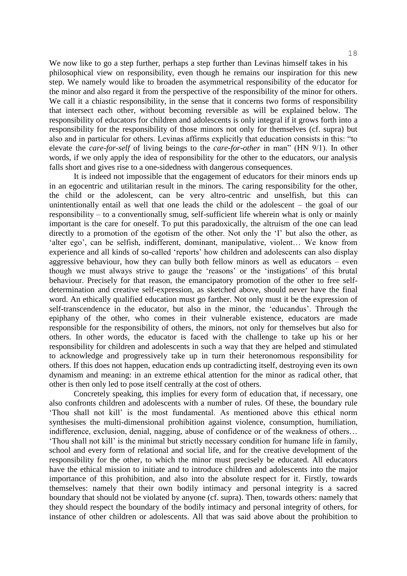We now like to go a step further, perhaps a step further than Levinas himself takes in his philosophical view on responsibility, even though he remains our inspiration for this new step. We namely would like to broaden the asymmetrical responsibility of the educator for the minor and also regard it from the perspective of the responsibility of the minor for others. We call it a chiastic responsibility, in the sense that it concerns two forms of responsibility that intersect each other, without becoming reversible as will be explained below. The responsibility of educators for children and adolescents is only integral if it grows forth into a responsibility for the responsibility of those minors not only for themselves (cf. supra) but also and in particular for others. Levinas affirms explicitly that education consists in this: "to elevate the *care-for-self* of living beings to the *care-for-other* in man" (HN 9/1). In other words, if we only apply the idea of responsibility for the other to the educators, our analysis falls short and gives rise to a one-sidedness with dangerous consequences.

It is indeed not impossible that the engagement of educators for their minors ends up in an egocentric and utilitarian result in the minors. The caring responsibility for the other, the child or the adolescent, can be very altro-centric and unselfish, but this can unintentionally entail as well that one leads the child or the adolescent – the goal of our responsibility – to a conventionally smug, self-sufficient life wherein what is only or mainly important is the care for oneself. To put this paradoxically, the altruism of the one can lead directly to a promotion of the egotism of the other. Not only the 'I' but also the other, as 'alter ego', can be selfish, indifferent, dominant, manipulative, violent… We know from experience and all kinds of so-called 'reports' how children and adolescents can also display aggressive behaviour, how they can bully both fellow minors as well as educators – even though we must always strive to gauge the 'reasons' or the 'instigations' of this brutal behaviour. Precisely for that reason, the emancipatory promotion of the other to free selfdetermination and creative self-expression, as sketched above, should never have the final word. An ethically qualified education must go farther. Not only must it be the expression of self-transcendence in the educator, but also in the minor, the 'educandus'. Through the epiphany of the other, who comes in their vulnerable existence, educators are made responsible for the responsibility of others, the minors, not only for themselves but also for others. In other words, the educator is faced with the challenge to take up his or her responsibility for children and adolescents in such a way that they are helped and stimulated to acknowledge and progressively take up in turn their heteronomous responsibility for others. If this does not happen, education ends up contradicting itself, destroying even its own dynamism and meaning: in an extreme ethical attention for the minor as radical other, that other is then only led to pose itself centrally at the cost of others.

Concretely speaking, this implies for every form of education that, if necessary, one also confronts children and adolescents with a number of rules. Of these, the boundary rule 'Thou shall not kill' is the most fundamental. As mentioned above this ethical norm synthesises the multi-dimensional prohibition against violence, consumption, humiliation, indifference, exclusion, denial, nagging, abuse of confidence or of the weakness of others… 'Thou shall not kill' is the minimal but strictly necessary condition for humane life in family, school and every form of relational and social life, and for the creative development of the responsibility for the other, to which the minor must precisely be educated. All educators have the ethical mission to initiate and to introduce children and adolescents into the major importance of this prohibition, and also into the absolute respect for it. Firstly, towards themselves: namely that their own bodily intimacy and personal integrity is a sacred boundary that should not be violated by anyone (cf. supra). Then, towards others: namely that they should respect the boundary of the bodily intimacy and personal integrity of others, for instance of other children or adolescents. All that was said above about the prohibition to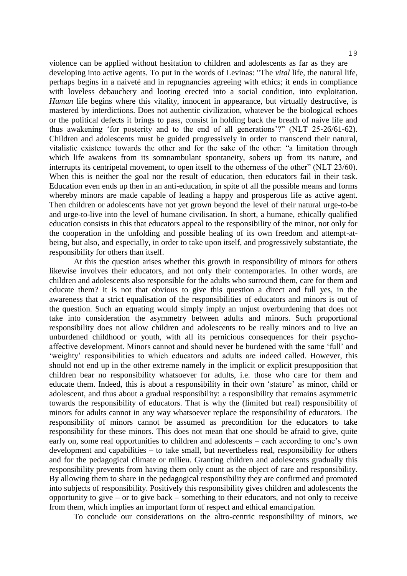violence can be applied without hesitation to children and adolescents as far as they are developing into active agents. To put in the words of Levinas: "The *vital* life, the natural life, perhaps begins in a naiveté and in repugnancies agreeing with ethics; it ends in compliance with loveless debauchery and looting erected into a social condition, into exploitation. *Human* life begins where this vitality, innocent in appearance, but virtually destructive, is mastered by interdictions. Does not authentic civilization, whatever be the biological echoes or the political defects it brings to pass, consist in holding back the breath of naive life and thus awakening 'for posterity and to the end of all generations'?" (NLT 25-26/61-62). Children and adolescents must be guided progressively in order to transcend their natural, vitalistic existence towards the other and for the sake of the other: "a limitation through which life awakens from its somnambulant spontaneity, sobers up from its nature, and interrupts its centripetal movement, to open itself to the otherness of the other" (NLT 23/60). When this is neither the goal nor the result of education, then educators fail in their task. Education even ends up then in an anti-education, in spite of all the possible means and forms whereby minors are made capable of leading a happy and prosperous life as active agent. Then children or adolescents have not yet grown beyond the level of their natural urge-to-be and urge-to-live into the level of humane civilisation. In short, a humane, ethically qualified education consists in this that educators appeal to the responsibility of the minor, not only for the cooperation in the unfolding and possible healing of its own freedom and attempt-atbeing, but also, and especially, in order to take upon itself, and progressively substantiate, the responsibility for others than itself.

At this the question arises whether this growth in responsibility of minors for others likewise involves their educators, and not only their contemporaries. In other words, are children and adolescents also responsible for the adults who surround them, care for them and educate them? It is not that obvious to give this question a direct and full yes, in the awareness that a strict equalisation of the responsibilities of educators and minors is out of the question. Such an equating would simply imply an unjust overburdening that does not take into consideration the asymmetry between adults and minors. Such proportional responsibility does not allow children and adolescents to be really minors and to live an unburdened childhood or youth, with all its pernicious consequences for their psychoaffective development. Minors cannot and should never be burdened with the same 'full' and 'weighty' responsibilities to which educators and adults are indeed called. However, this should not end up in the other extreme namely in the implicit or explicit presupposition that children bear no responsibility whatsoever for adults, i.e. those who care for them and educate them. Indeed, this is about a responsibility in their own 'stature' as minor, child or adolescent, and thus about a gradual responsibility: a responsibility that remains asymmetric towards the responsibility of educators. That is why the (limited but real) responsibility of minors for adults cannot in any way whatsoever replace the responsibility of educators. The responsibility of minors cannot be assumed as precondition for the educators to take responsibility for these minors. This does not mean that one should be afraid to give, quite early on, some real opportunities to children and adolescents – each according to one's own development and capabilities – to take small, but nevertheless real, responsibility for others and for the pedagogical climate or milieu. Granting children and adolescents gradually this responsibility prevents from having them only count as the object of care and responsibility. By allowing them to share in the pedagogical responsibility they are confirmed and promoted into subjects of responsibility. Positively this responsibility gives children and adolescents the opportunity to give – or to give back – something to their educators, and not only to receive from them, which implies an important form of respect and ethical emancipation.

To conclude our considerations on the altro-centric responsibility of minors, we